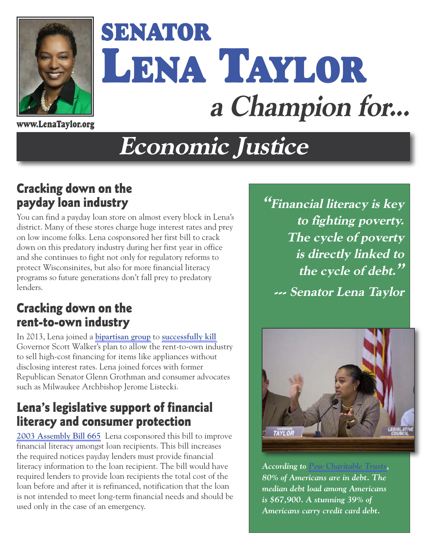

# **SENATOR LENA TAYLOR a Champion for...**

**www.LenaTaylor.org**

## **Economic Justice**

#### **Cracking down on the payday loan industry**

You can find a payday loan store on almost every block in Lena's district. Many of these stores charge huge interest rates and prey on low income folks. Lena cosponsored her first bill to crack down on this predatory industry during her first year in office and she continues to fight not only for regulatory reforms to protect Wisconsinites, but also for more financial literacy programs so future generations don't fall prey to predatory lenders.

#### **Cracking down on the rent-to-own industry**

In 2013, Lena joined a **[bipartisan group](http://archive.jsonline.com/news/statepolitics/archbishop-jerome-listecki-legislators-criticize-scott-walker-renttoown-budget-provision-ir9nllh-204892211.html)** to **[successfully kill](http://archive.jsonline.com/news/statepolitics/state-panel-pulls-scott-walkers-rent-to-own-plan-from-budget-b9918236z1-208757381.html)** Governor Scott Walker's plan to allow the rent-to-own industry to sell high-cost financing for items like appliances without disclosing interest rates. Lena joined forces with former Republican Senator Glenn Grothman and consumer advocates such as Milwaukee Archbishop Jerome Listecki.

#### **Lena's legislative support of financial literacy and consumer protection**

**[2003 Assembly Bill 665](http://docs.legis.wisconsin.gov/2003/proposals/AB665)** Lena cosponsored this bill to improve financial literacy amongst loan recipients. This bill increases the required notices payday lenders must provide financial literacy information to the loan recipient. The bill would have required lenders to provide loan recipients the total cost of the loan before and after it is refinanced, notification that the loan is not intended to meet long-term financial needs and should be used only in the case of an emergency.

**"Financial literacy is key to fighting poverty. The cycle of poverty is directly linked to the cycle of debt." --- Senator Lena Taylor** 



*According to [Pew Charitable Trusts,](http://blog.credit.com/2015/08/80-of-americans-are-in-debt-122255/) 80% of Americans are in debt. The median debt load among Americans is \$67,900. A stunning 39% of Americans carry credit card debt.*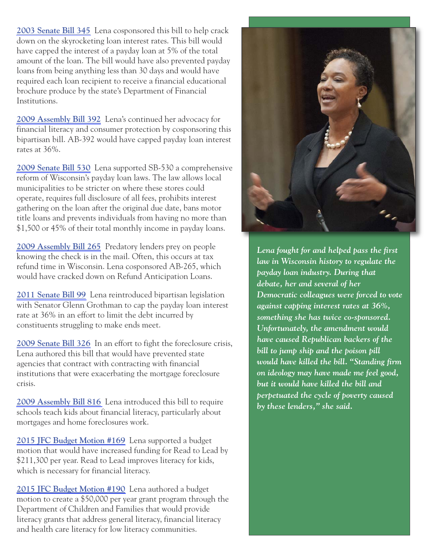**[2003 Senate Bill 345](http://docs.legis.wisconsin.gov/2003/proposals/SB345)** Lena cosponsored this bill to help crack down on the skyrocketing loan interest rates. This bill would have capped the interest of a payday loan at 5% of the total amount of the loan. The bill would have also prevented payday loans from being anything less than 30 days and would have required each loan recipient to receive a financial educational brochure produce by the state's Department of Financial Institutions.

**[2009 Assembly Bill 392](http://docs.legis.wisconsin.gov/2009/proposals/AB392)** Lena's continued her advocacy for financial literacy and consumer protection by cosponsoring this bipartisan bill. AB-392 would have capped payday loan interest rates at 36%.

**[2009 Senate Bill 530](http://docs.legis.wisconsin.gov/2009/proposals/SB530)** Lena supported SB-530 a comprehensive reform of Wisconsin's payday loan laws. The law allows local municipalities to be stricter on where these stores could operate, requires full disclosure of all fees, prohibits interest gathering on the loan after the original due date, bans motor title loans and prevents individuals from having no more than \$1,500 or 45% of their total monthly income in payday loans.

**[2009 Assembly Bill 265](http://docs.legis.wisconsin.gov/2009/proposals/AB265)** Predatory lenders prey on people knowing the check is in the mail. Often, this occurs at tax refund time in Wisconsin. Lena cosponsored AB-265, which would have cracked down on Refund Anticipation Loans.

**[2011 Senate Bill 99](http://docs.legis.wisconsin.gov/2009/proposals/SB99)** Lena reintroduced bipartisan legislation with Senator Glenn Grothman to cap the payday loan interest rate at 36% in an effort to limit the debt incurred by constituents struggling to make ends meet.

**[2009 Senate Bill 326](http://docs.legis.wisconsin.gov/2009/related/proposals/sb326)** In an effort to fight the foreclosure crisis, Lena authored this bill that would have prevented state agencies that contract with contracting with financial institutions that were exacerbating the mortgage foreclosure crisis.

**[2009 Assembly Bill 816](http://docs.legis.wisconsin.gov/2009/proposals/AB816)** Lena introduced this bill to require schools teach kids about financial literacy, particularly about mortgages and home foreclosures work.

**[2015 JFC Budget Motion #169](http://legis.wisconsin.gov/eupdates/sen04/Issue%20Papers/2015%20Motion%20169%20211k%20read%20to%20lead%20grant.pdf)** Lena supported a budget motion that would have increased funding for Read to Lead by \$211,300 per year. Read to Lead improves literacy for kids, which is necessary for financial literacy.

**[2015 JFC Budget Motion #190](http://legis.wisconsin.gov/eupdates/sen04/Issue%20Papers/2015%20Motion%20190%20100k%20literacy%20grants.pdf)** Lena authored a budget motion to create a \$50,000 per year grant program through the Department of Children and Families that would provide literacy grants that address general literacy, financial literacy and health care literacy for low literacy communities.



*Lena fought for and helped pass the first law in Wisconsin history to regulate the payday loan industry. During that debate, her and several of her Democratic colleagues were forced to vote against capping interest rates at 36%, something she has twice co-sponsored. Unfortunately, the amendment would have caused Republican backers of the bill to jump ship and the poison pill would have killed the bill. "Standing firm on ideology may have made me feel good, but it would have killed the bill and perpetuated the cycle of poverty caused by these lenders," she said.*